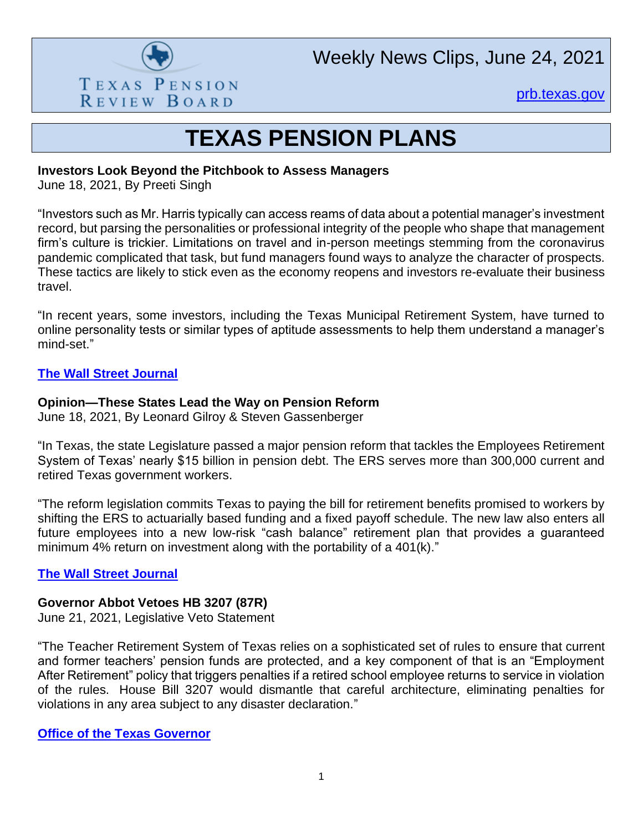

Weekly News Clips, June 24, 2021

[prb.texas.gov](http://www.prb.texas.gov/)

## **TEXAS PENSION PLANS**

#### **Investors Look Beyond the Pitchbook to Assess Managers**

June 18, 2021, By Preeti Singh

"Investors such as Mr. Harris typically can access reams of data about a potential manager's investment record, but parsing the personalities or professional integrity of the people who shape that management firm's culture is trickier. Limitations on travel and in-person meetings stemming from the coronavirus pandemic complicated that task, but fund managers found ways to analyze the character of prospects. These tactics are likely to stick even as the economy reopens and investors re-evaluate their business travel.

"In recent years, some investors, including the Texas Municipal Retirement System, have turned to online personality tests or similar types of aptitude assessments to help them understand a manager's mind-set."

## **[The Wall Street Journal](https://www.wsj.com/articles/investors-look-beyond-the-pitchbook-to-assess-managers-11624014000)**

## **Opinion—These States Lead the Way on Pension Reform**

June 18, 2021, By Leonard Gilroy & Steven Gassenberger

"In Texas, the state Legislature passed a major pension reform that tackles the Employees Retirement System of Texas' nearly \$15 billion in pension debt. The ERS serves more than 300,000 current and retired Texas government workers.

"The reform legislation commits Texas to paying the bill for retirement benefits promised to workers by shifting the ERS to actuarially based funding and a fixed payoff schedule. The new law also enters all future employees into a new low-risk "cash balance" retirement plan that provides a guaranteed minimum 4% return on investment along with the portability of a 401(k)."

## **[The Wall Street Journal](https://www.wsj.com/articles/these-states-lead-the-way-on-pension-reform-11624038916)**

#### **Governor Abbot Vetoes HB 3207 (87R)**

June 21, 2021, Legislative Veto Statement

"The Teacher Retirement System of Texas relies on a sophisticated set of rules to ensure that current and former teachers' pension funds are protected, and a key component of that is an "Employment After Retirement" policy that triggers penalties if a retired school employee returns to service in violation of the rules. House Bill 3207 would dismantle that careful architecture, eliminating penalties for violations in any area subject to any disaster declaration."

#### **[Office of the Texas Governor](https://gov.texas.gov/news/post/governor-abbott-vetoes-hb-3207-87r)**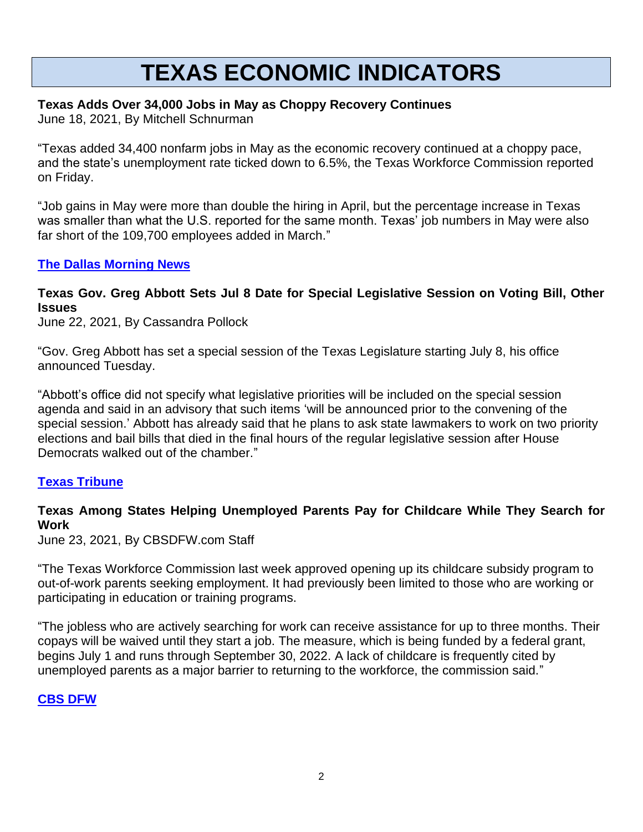## **TEXAS ECONOMIC INDICATORS**

## **Texas Adds Over 34,000 Jobs in May as Choppy Recovery Continues**

June 18, 2021, By Mitchell Schnurman

"Texas added 34,400 nonfarm jobs in May as the economic recovery continued at a choppy pace, and the state's unemployment rate ticked down to 6.5%, the Texas Workforce Commission reported on Friday.

"Job gains in May were more than double the hiring in April, but the percentage increase in Texas was smaller than what the U.S. reported for the same month. Texas' job numbers in May were also far short of the 109,700 employees added in March."

## **[The Dallas Morning News](https://www.dallasnews.com/business/2021/06/18/texas-adds-over-34000-jobs-in-may-as-recovery-continues/)**

**Texas Gov. Greg Abbott Sets Jul 8 Date for Special Legislative Session on Voting Bill, Other Issues**

June 22, 2021, By Cassandra Pollock

"Gov. Greg Abbott has set a special session of the Texas Legislature starting July 8, his office announced Tuesday.

"Abbott's office did not specify what legislative priorities will be included on the special session agenda and said in an advisory that such items 'will be announced prior to the convening of the special session.' Abbott has already said that he plans to ask state lawmakers to work on two priority elections and bail bills that died in the final hours of the regular legislative session after House Democrats walked out of the chamber."

#### **[Texas Tribune](https://www.texastribune.org/2021/06/22/texas-greg-abbott-special-session/)**

## **Texas Among States Helping Unemployed Parents Pay for Childcare While They Search for Work**

June 23, 2021, By CBSDFW.com Staff

"The Texas Workforce Commission last week approved opening up its childcare subsidy program to out-of-work parents seeking employment. It had previously been limited to those who are working or participating in education or training programs.

"The jobless who are actively searching for work can receive assistance for up to three months. Their copays will be waived until they start a job. The measure, which is being funded by a federal grant, begins July 1 and runs through September 30, 2022. A lack of childcare is frequently cited by unemployed parents as a major barrier to returning to the workforce, the commission said."

#### **[CBS DFW](https://dfw.cbslocal.com/2021/06/23/texas-helping-unemployed-parents-pay-childcare-search-work/)**